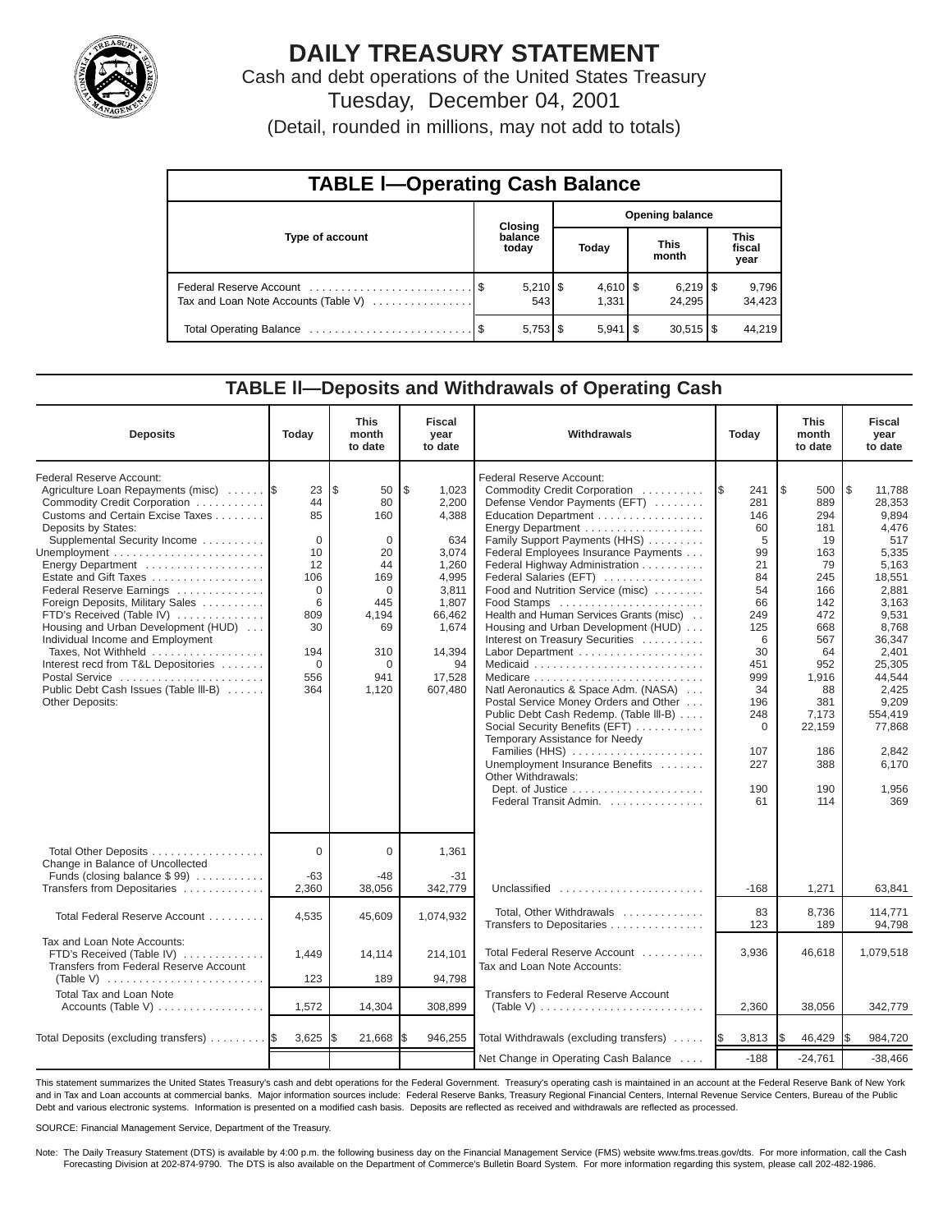

# **DAILY TREASURY STATEMENT**

Cash and debt operations of the United States Treasury Tuesday, December 04, 2001

(Detail, rounded in millions, may not add to totals)

| <b>TABLE I-Operating Cash Balance</b> |                  |                   |       |                        |                      |                                 |                               |                 |  |  |
|---------------------------------------|------------------|-------------------|-------|------------------------|----------------------|---------------------------------|-------------------------------|-----------------|--|--|
|                                       |                  | Closing           |       | <b>Opening balance</b> |                      |                                 |                               |                 |  |  |
| Type of account                       | balance<br>today |                   | Today |                        | <b>This</b><br>month |                                 | <b>This</b><br>fiscal<br>year |                 |  |  |
| Tax and Loan Note Accounts (Table V)  |                  | $5,210$ \$<br>543 |       | $4,610$ \$<br>1.331    |                      | $6,219$ $\frac{8}{3}$<br>24.295 |                               | 9,796<br>34,423 |  |  |
|                                       |                  |                   |       | $5,941$ $\sqrt{3}$     |                      | $30,515$ $\frac{1}{3}$          |                               | 44,219          |  |  |

#### **TABLE ll—Deposits and Withdrawals of Operating Cash**

| <b>Deposits</b>                                                                                                                                                                                                                                                                                                                                                                                                                                                                                                                                             | Today                                                                                                              | <b>This</b><br>month<br>to date                                                                                                  | <b>Fiscal</b><br>year<br>to date                                                                                                          | Withdrawals                                                                                                                                                                                                                                                                                                                                                                                                                                                                                                                                                                                                                                                                                                                                                                  | Today                                                                                                                                                                  | <b>This</b><br>month<br>to date                                                                                                                                                | <b>Fiscal</b><br>year<br>to date                                                                                                                                                                                                 |
|-------------------------------------------------------------------------------------------------------------------------------------------------------------------------------------------------------------------------------------------------------------------------------------------------------------------------------------------------------------------------------------------------------------------------------------------------------------------------------------------------------------------------------------------------------------|--------------------------------------------------------------------------------------------------------------------|----------------------------------------------------------------------------------------------------------------------------------|-------------------------------------------------------------------------------------------------------------------------------------------|------------------------------------------------------------------------------------------------------------------------------------------------------------------------------------------------------------------------------------------------------------------------------------------------------------------------------------------------------------------------------------------------------------------------------------------------------------------------------------------------------------------------------------------------------------------------------------------------------------------------------------------------------------------------------------------------------------------------------------------------------------------------------|------------------------------------------------------------------------------------------------------------------------------------------------------------------------|--------------------------------------------------------------------------------------------------------------------------------------------------------------------------------|----------------------------------------------------------------------------------------------------------------------------------------------------------------------------------------------------------------------------------|
| Federal Reserve Account:<br>Agriculture Loan Repayments (misc)<br>Commodity Credit Corporation<br>Customs and Certain Excise Taxes<br>Deposits by States:<br>Supplemental Security Income<br>Energy Department<br>Estate and Gift Taxes<br>Federal Reserve Earnings<br>Foreign Deposits, Military Sales<br>FTD's Received (Table IV)<br>Housing and Urban Development (HUD)<br>Individual Income and Employment<br>Taxes, Not Withheld<br>Interest recd from T&L Depositories<br>Postal Service<br>Public Debt Cash Issues (Table III-B)<br>Other Deposits: | 23<br>44<br>85<br>$\mathbf 0$<br>10<br>12<br>106<br>$\Omega$<br>6<br>809<br>30<br>194<br>$\mathbf 0$<br>556<br>364 | l\$<br>50<br>80<br>160<br>$\mathbf 0$<br>20<br>44<br>169<br>$\Omega$<br>445<br>4,194<br>69<br>310<br>$\mathbf 0$<br>941<br>1,120 | \$<br>1,023<br>2,200<br>4,388<br>634<br>3,074<br>1,260<br>4,995<br>3,811<br>1,807<br>66,462<br>1,674<br>14,394<br>94<br>17,528<br>607,480 | Federal Reserve Account:<br>Commodity Credit Corporation<br>Defense Vendor Payments (EFT)<br>Education Department<br>Energy Department<br>Family Support Payments (HHS)<br>Federal Employees Insurance Payments<br>Federal Highway Administration<br>Federal Salaries (EFT)<br>Food and Nutrition Service (misc)<br>Food Stamps<br>Health and Human Services Grants (misc)<br>Housing and Urban Development (HUD)<br>Interest on Treasury Securities<br>Labor Department<br>Natl Aeronautics & Space Adm. (NASA)<br>Postal Service Money Orders and Other<br>Public Debt Cash Redemp. (Table III-B)<br>Social Security Benefits (EFT)<br>Temporary Assistance for Needy<br>Families (HHS)<br>Unemployment Insurance Benefits<br>Other Withdrawals:<br>Federal Transit Admin. | 1\$<br>241<br>281<br>146<br>60<br>5<br>99<br>21<br>84<br>54<br>66<br>249<br>125<br>6<br>30<br>451<br>999<br>34<br>196<br>248<br>$\mathbf 0$<br>107<br>227<br>190<br>61 | 1\$<br>500<br>889<br>294<br>181<br>19<br>163<br>79<br>245<br>166<br>142<br>472<br>668<br>567<br>64<br>952<br>1,916<br>88<br>381<br>7,173<br>22,159<br>186<br>388<br>190<br>114 | l\$<br>11,788<br>28,353<br>9,894<br>4,476<br>517<br>5,335<br>5,163<br>18,551<br>2,881<br>3,163<br>9,531<br>8,768<br>36,347<br>2,401<br>25,305<br>44,544<br>2,425<br>9,209<br>554,419<br>77.868<br>2.842<br>6.170<br>1,956<br>369 |
| Total Other Deposits<br>Change in Balance of Uncollected                                                                                                                                                                                                                                                                                                                                                                                                                                                                                                    | $\Omega$                                                                                                           | $\Omega$                                                                                                                         | 1,361                                                                                                                                     |                                                                                                                                                                                                                                                                                                                                                                                                                                                                                                                                                                                                                                                                                                                                                                              |                                                                                                                                                                        |                                                                                                                                                                                |                                                                                                                                                                                                                                  |
| Funds (closing balance \$99)<br>Transfers from Depositaries                                                                                                                                                                                                                                                                                                                                                                                                                                                                                                 | -63<br>2,360                                                                                                       | $-48$<br>38,056                                                                                                                  | -31<br>342,779                                                                                                                            | Unclassified                                                                                                                                                                                                                                                                                                                                                                                                                                                                                                                                                                                                                                                                                                                                                                 | $-168$                                                                                                                                                                 | 1,271                                                                                                                                                                          | 63,841                                                                                                                                                                                                                           |
| Total Federal Reserve Account                                                                                                                                                                                                                                                                                                                                                                                                                                                                                                                               | 4,535                                                                                                              | 45,609                                                                                                                           | 1,074,932                                                                                                                                 | Total, Other Withdrawals<br>Transfers to Depositaries                                                                                                                                                                                                                                                                                                                                                                                                                                                                                                                                                                                                                                                                                                                        | 83<br>123                                                                                                                                                              | 8.736<br>189                                                                                                                                                                   | 114.771<br>94,798                                                                                                                                                                                                                |
| Tax and Loan Note Accounts:<br>FTD's Received (Table IV)<br>Transfers from Federal Reserve Account                                                                                                                                                                                                                                                                                                                                                                                                                                                          | 1,449                                                                                                              | 14,114                                                                                                                           | 214,101                                                                                                                                   | Total Federal Reserve Account<br>Tax and Loan Note Accounts:                                                                                                                                                                                                                                                                                                                                                                                                                                                                                                                                                                                                                                                                                                                 | 3,936                                                                                                                                                                  | 46,618                                                                                                                                                                         | 1,079,518                                                                                                                                                                                                                        |
| (Table V) $\ldots \ldots \ldots \ldots \ldots \ldots \ldots$<br><b>Total Tax and Loan Note</b>                                                                                                                                                                                                                                                                                                                                                                                                                                                              | 123                                                                                                                | 189                                                                                                                              | 94,798                                                                                                                                    | Transfers to Federal Reserve Account                                                                                                                                                                                                                                                                                                                                                                                                                                                                                                                                                                                                                                                                                                                                         |                                                                                                                                                                        |                                                                                                                                                                                |                                                                                                                                                                                                                                  |
| Accounts (Table V)                                                                                                                                                                                                                                                                                                                                                                                                                                                                                                                                          | 1,572                                                                                                              | 14,304                                                                                                                           | 308,899                                                                                                                                   | (Table V) $\ldots \ldots \ldots \ldots \ldots \ldots \ldots \ldots$                                                                                                                                                                                                                                                                                                                                                                                                                                                                                                                                                                                                                                                                                                          | 2,360                                                                                                                                                                  | 38,056                                                                                                                                                                         | 342,779                                                                                                                                                                                                                          |
| Total Deposits (excluding transfers)                                                                                                                                                                                                                                                                                                                                                                                                                                                                                                                        | 3,625                                                                                                              | 21,668                                                                                                                           | 946,255                                                                                                                                   | Total Withdrawals (excluding transfers)                                                                                                                                                                                                                                                                                                                                                                                                                                                                                                                                                                                                                                                                                                                                      | 3,813<br><b>IS</b>                                                                                                                                                     | 46,429                                                                                                                                                                         | 984,720<br>I\$                                                                                                                                                                                                                   |
|                                                                                                                                                                                                                                                                                                                                                                                                                                                                                                                                                             |                                                                                                                    |                                                                                                                                  |                                                                                                                                           | Net Change in Operating Cash Balance                                                                                                                                                                                                                                                                                                                                                                                                                                                                                                                                                                                                                                                                                                                                         | $-188$                                                                                                                                                                 | $-24,761$                                                                                                                                                                      | $-38,466$                                                                                                                                                                                                                        |

This statement summarizes the United States Treasury's cash and debt operations for the Federal Government. Treasury's operating cash is maintained in an account at the Federal Reserve Bank of New York and in Tax and Loan accounts at commercial banks. Major information sources include: Federal Reserve Banks, Treasury Regional Financial Centers, Internal Revenue Service Centers, Bureau of the Public Debt and various electronic systems. Information is presented on a modified cash basis. Deposits are reflected as received and withdrawals are reflected as processed.

SOURCE: Financial Management Service, Department of the Treasury.

Note: The Daily Treasury Statement (DTS) is available by 4:00 p.m. the following business day on the Financial Management Service (FMS) website www.fms.treas.gov/dts. For more information, call the Cash Forecasting Division at 202-874-9790. The DTS is also available on the Department of Commerce's Bulletin Board System. For more information regarding this system, please call 202-482-1986.